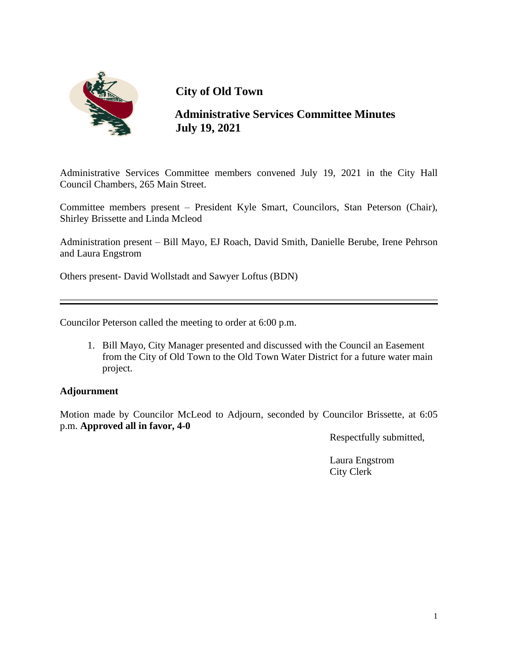

 **Administrative Services Committee Minutes July 19, 2021**

Administrative Services Committee members convened July 19, 2021 in the City Hall Council Chambers, 265 Main Street.

Committee members present – President Kyle Smart, Councilors, Stan Peterson (Chair), Shirley Brissette and Linda Mcleod

Administration present – Bill Mayo, EJ Roach, David Smith, Danielle Berube, Irene Pehrson and Laura Engstrom

Others present- David Wollstadt and Sawyer Loftus (BDN)

Councilor Peterson called the meeting to order at 6:00 p.m.

1. Bill Mayo, City Manager presented and discussed with the Council an Easement from the City of Old Town to the Old Town Water District for a future water main project.

## **Adjournment**

Motion made by Councilor McLeod to Adjourn, seconded by Councilor Brissette, at 6:05 p.m. **Approved all in favor, 4-0**

Respectfully submitted,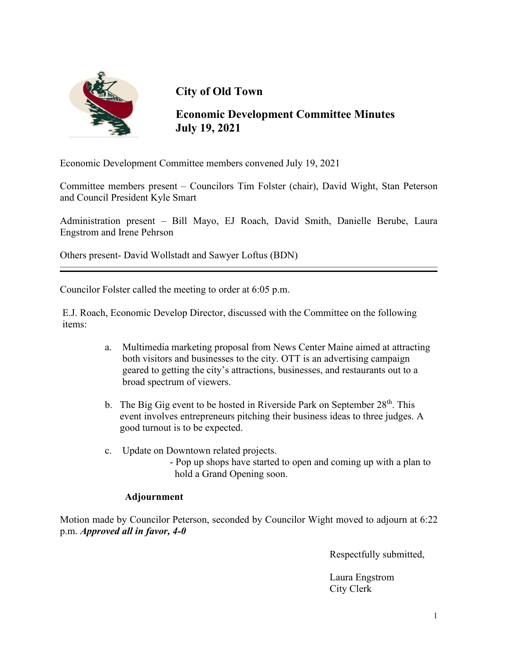

**Economic Development Committee Minutes July 19, 2021**

Economic Development Committee members convened July 19, 2021

Committee members present – Councilors Tim Folster (chair), David Wight, Stan Peterson and Council President Kyle Smart

Administration present – Bill Mayo, EJ Roach, David Smith, Danielle Berube, Laura Engstrom and Irene Pehrson

Others present- David Wollstadt and Sawyer Loftus (BDN)

Councilor Folster called the meeting to order at 6:05 p.m.

E.J. Roach, Economic Develop Director, discussed with the Committee on the following items:

- a. Multimedia marketing proposal from News Center Maine aimed at attracting both visitors and businesses to the city. OTT is an advertising campaign geared to getting the city's attractions, businesses, and restaurants out to a broad spectrum of viewers.
- b. The Big Gig event to be hosted in Riverside Park on September  $28<sup>th</sup>$ . This event involves entrepreneurs pitching their business ideas to three judges. A good turnout is to be expected.
- c. Update on Downtown related projects. - Pop up shops have started to open and coming up with a plan to hold a Grand Opening soon.

#### **Adjournment**

Motion made by Councilor Peterson, seconded by Councilor Wight moved to adjourn at 6:22 p.m. *Approved all in favor, 4-0*

Respectfully submitted,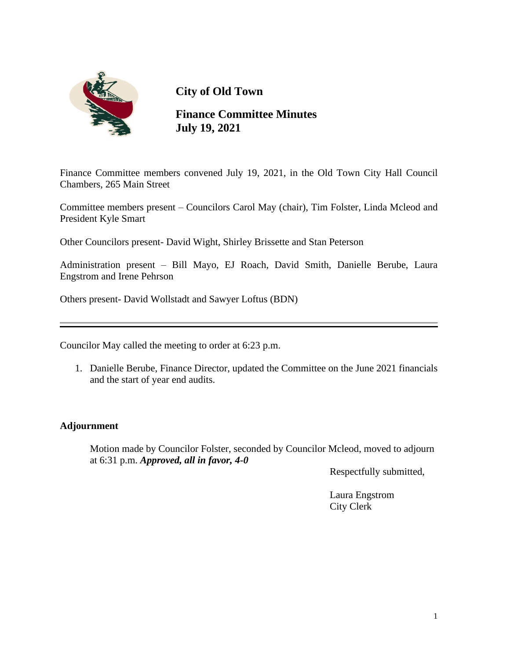

**Finance Committee Minutes July 19, 2021**

Finance Committee members convened July 19, 2021, in the Old Town City Hall Council Chambers, 265 Main Street

Committee members present – Councilors Carol May (chair), Tim Folster, Linda Mcleod and President Kyle Smart

Other Councilors present- David Wight, Shirley Brissette and Stan Peterson

Administration present – Bill Mayo, EJ Roach, David Smith, Danielle Berube, Laura Engstrom and Irene Pehrson

Others present- David Wollstadt and Sawyer Loftus (BDN)

Councilor May called the meeting to order at 6:23 p.m.

1. Danielle Berube, Finance Director, updated the Committee on the June 2021 financials and the start of year end audits.

## **Adjournment**

 Motion made by Councilor Folster, seconded by Councilor Mcleod, moved to adjourn at 6:31 p.m. *Approved, all in favor, 4-0*

Respectfully submitted,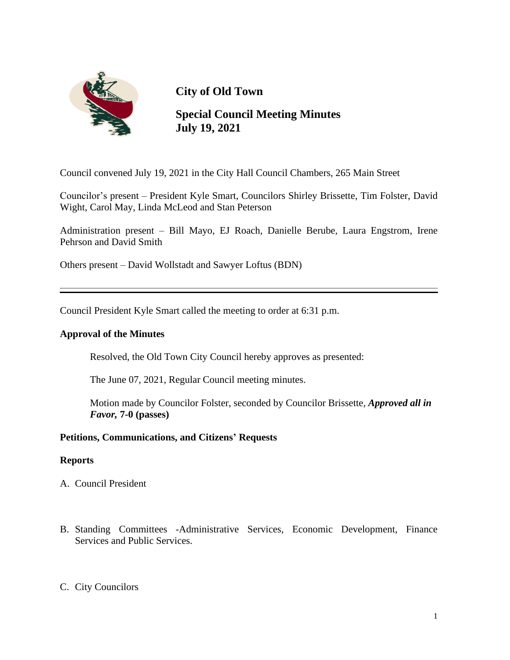

**Special Council Meeting Minutes July 19, 2021**

Council convened July 19, 2021 in the City Hall Council Chambers, 265 Main Street

Councilor's present – President Kyle Smart, Councilors Shirley Brissette, Tim Folster, David Wight, Carol May, Linda McLeod and Stan Peterson

Administration present – Bill Mayo, EJ Roach, Danielle Berube, Laura Engstrom, Irene Pehrson and David Smith

Others present – David Wollstadt and Sawyer Loftus (BDN)

Council President Kyle Smart called the meeting to order at 6:31 p.m.

#### **Approval of the Minutes**

Resolved, the Old Town City Council hereby approves as presented:

The June 07, 2021, Regular Council meeting minutes.

 Motion made by Councilor Folster, seconded by Councilor Brissette, *Approved all in Favor,* **7-0 (passes)**

## **Petitions, Communications, and Citizens' Requests**

#### **Reports**

- A. Council President
- B. Standing Committees -Administrative Services, Economic Development, Finance Services and Public Services.
- C. City Councilors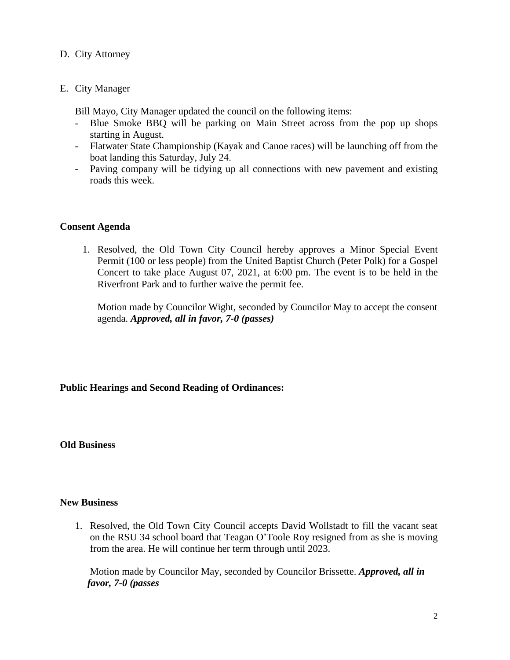### D. City Attorney

#### E. City Manager

Bill Mayo, City Manager updated the council on the following items:

- Blue Smoke BBQ will be parking on Main Street across from the pop up shops starting in August.
- Flatwater State Championship (Kayak and Canoe races) will be launching off from the boat landing this Saturday, July 24.
- Paving company will be tidying up all connections with new pavement and existing roads this week.

## **Consent Agenda**

1. Resolved, the Old Town City Council hereby approves a Minor Special Event Permit (100 or less people) from the United Baptist Church (Peter Polk) for a Gospel Concert to take place August 07, 2021, at 6:00 pm. The event is to be held in the Riverfront Park and to further waive the permit fee.

 Motion made by Councilor Wight, seconded by Councilor May to accept the consent agenda. *Approved, all in favor, 7-0 (passes)* 

## **Public Hearings and Second Reading of Ordinances:**

#### **Old Business**

#### **New Business**

1. Resolved, the Old Town City Council accepts David Wollstadt to fill the vacant seat on the RSU 34 school board that Teagan O'Toole Roy resigned from as she is moving from the area. He will continue her term through until 2023.

 Motion made by Councilor May, seconded by Councilor Brissette. *Approved, all in favor, 7-0 (passes*